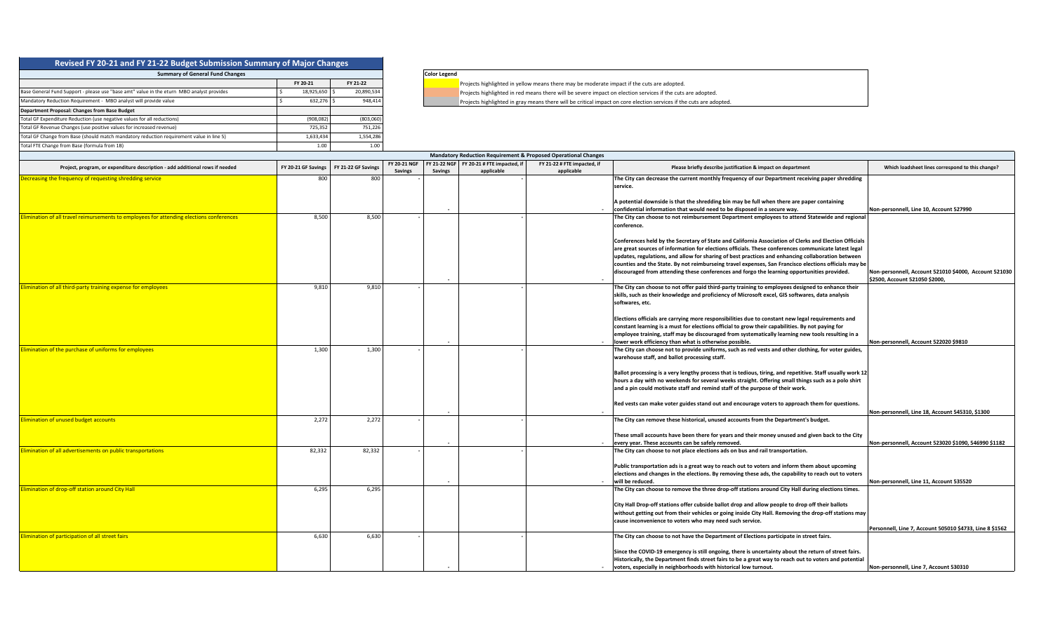| Revised FY 20-21 and FY 21-22 Budget Submission Summary of Major Changes                  |  |            |  |            |  |  |  |  |  |  |  |
|-------------------------------------------------------------------------------------------|--|------------|--|------------|--|--|--|--|--|--|--|
| <b>Summary of General Fund Changes</b>                                                    |  |            |  |            |  |  |  |  |  |  |  |
|                                                                                           |  | FY 20-21   |  | FY 21-22   |  |  |  |  |  |  |  |
| Base General Fund Support - please use "base amt" value in the eturn MBO analyst provides |  | 18,925,650 |  | 20,890,534 |  |  |  |  |  |  |  |
| Mandatory Reduction Requirement - MBO analyst will provide value                          |  | 632.276    |  | 948,414    |  |  |  |  |  |  |  |
| <b>Department Proposal: Changes from Base Budget</b>                                      |  |            |  |            |  |  |  |  |  |  |  |
| Total GF Expenditure Reduction (use negative values for all reductions)                   |  | (908, 082) |  | (803,060)  |  |  |  |  |  |  |  |
| Total GF Revenue Changes (use positive values for increased revenue)                      |  | 725.352    |  | 751,226    |  |  |  |  |  |  |  |
| Total GF Change from Base (should match mandatory reduction requirement value in line 5)  |  | 1,633,434  |  | 1,554,286  |  |  |  |  |  |  |  |
| Total FTE Change from Base (formula from 1B)                                              |  | 1.00       |  | 1.00       |  |  |  |  |  |  |  |

## **Color Legend**

**F** Projects highlighted in yellow means there may be moderate impact if the cuts are adopted.

Projects highlighted in red means there will be severe impact on election services if the cuts are adopted.

Projects highlighted in gray means there will be critical impact on core election services if the cuts are adopted.

| <b>Mandatory Reduction Requirement &amp; Proposed Operational Changes</b>                |                     |                     |                                |                |                                                        |                                           |                                                                                                                                                                                      |                                                                                         |  |
|------------------------------------------------------------------------------------------|---------------------|---------------------|--------------------------------|----------------|--------------------------------------------------------|-------------------------------------------|--------------------------------------------------------------------------------------------------------------------------------------------------------------------------------------|-----------------------------------------------------------------------------------------|--|
| Project, program, or expenditure description - add additional rows if needed             | FY 20-21 GF Savings | FY 21-22 GF Savings | FY 20-21 NGF<br><b>Savings</b> | <b>Savings</b> | FY 21-22 NGF FY 20-21 # FTE impacted. if<br>applicable | FY 21-22 # FTE impacted, if<br>applicable | Please briefly describe justification & impact on department                                                                                                                         | Which loadsheet lines correspond to this change?                                        |  |
| Decreasing the frequency of requesting shredding service                                 | 800                 | 800                 |                                |                |                                                        |                                           | The City can decrease the current monthly frequency of our Department receiving paper shredding<br>service.                                                                          |                                                                                         |  |
|                                                                                          |                     |                     |                                |                |                                                        |                                           | A potential downside is that the shredding bin may be full when there are paper containing                                                                                           |                                                                                         |  |
|                                                                                          |                     |                     |                                |                |                                                        |                                           | confidential information that would need to be disposed in a secure way.                                                                                                             | Non-personnell, Line 10, Account 527990                                                 |  |
| Elimination of all travel reimursements to employees for attending elections conferences | 8,500               | 8,500               |                                |                |                                                        |                                           | The City can choose to not reimbursement Department employees to attend Statewide and regional<br>conference.                                                                        |                                                                                         |  |
|                                                                                          |                     |                     |                                |                |                                                        |                                           | Conferences held by the Secretary of State and California Association of Clerks and Election Officials                                                                               |                                                                                         |  |
|                                                                                          |                     |                     |                                |                |                                                        |                                           | are great sources of information for elections officials. These conferences communicate latest legal                                                                                 |                                                                                         |  |
|                                                                                          |                     |                     |                                |                |                                                        |                                           | updates, regulations, and allow for sharing of best practices and enhancing collaboration between                                                                                    |                                                                                         |  |
|                                                                                          |                     |                     |                                |                |                                                        |                                           | counties and the State. By not reimburseing travel expenses, San Francisco elections officials may be                                                                                |                                                                                         |  |
|                                                                                          |                     |                     |                                |                |                                                        |                                           | discouraged from attending these conferences and forgo the learning opportunities provided.                                                                                          | Non-personnell, Account 521010 \$4000, Account 521030<br>\$2500. Account 521050 \$2000. |  |
| Elimination of all third-party training expense for employees                            | 9,810               | 9,810               |                                |                |                                                        |                                           | The City can choose to not offer paid third-party training to employees designed to enhance their                                                                                    |                                                                                         |  |
|                                                                                          |                     |                     |                                |                |                                                        |                                           | skills, such as their knowledge and proficiency of Microsoft excel, GIS softwares, data analysis<br>softwares. etc.                                                                  |                                                                                         |  |
|                                                                                          |                     |                     |                                |                |                                                        |                                           | Elections officials are carrying more responsibilities due to constant new legal requirements and                                                                                    |                                                                                         |  |
|                                                                                          |                     |                     |                                |                |                                                        |                                           | constant learning is a must for elections official to grow their capabilities. By not paying for                                                                                     |                                                                                         |  |
|                                                                                          |                     |                     |                                |                |                                                        |                                           | employee training, staff may be discouraged from systematically learning new tools resulting in a                                                                                    |                                                                                         |  |
|                                                                                          |                     |                     |                                |                |                                                        |                                           | ower work efficiency than what is otherwise possible.                                                                                                                                | Non-personnell, Account 522020 \$9810                                                   |  |
| Elimination of the purchase of uniforms for employees                                    | 1,300               | 1,300               |                                |                |                                                        |                                           | The City can choose not to provide uniforms, such as red vests and other clothing, for voter guides,<br>warehouse staff, and ballot processing staff.                                |                                                                                         |  |
|                                                                                          |                     |                     |                                |                |                                                        |                                           | Ballot processing is a very lengthy process that is tedious, tiring, and repetitive. Staff usually work 12                                                                           |                                                                                         |  |
|                                                                                          |                     |                     |                                |                |                                                        |                                           | hours a day with no weekends for several weeks straight. Offering small things such as a polo shirt<br>and a pin could motivate staff and remind staff of the purpose of their work. |                                                                                         |  |
|                                                                                          |                     |                     |                                |                |                                                        |                                           | Red vests can make voter guides stand out and encourage voters to approach them for questions.                                                                                       | Non-personnell, Line 18, Account 545310, \$1300                                         |  |
| <b>Elimination of unused budget accounts</b>                                             | 2,272               | 2,272               |                                |                |                                                        |                                           | The City can remove these historical, unused accounts from the Department's budget.                                                                                                  |                                                                                         |  |
|                                                                                          |                     |                     |                                |                |                                                        |                                           | These small accounts have been there for years and their money unused and given back to the City                                                                                     |                                                                                         |  |
|                                                                                          |                     |                     |                                |                |                                                        |                                           | every year. These accounts can be safely removed.                                                                                                                                    | Non-personnell, Account 523020 \$1090, 546990 \$1182                                    |  |
| Elimination of all advertisements on public transportations                              | 82,332              | 82,332              |                                |                |                                                        |                                           | The City can choose to not place elections ads on bus and rail transportation.                                                                                                       |                                                                                         |  |
|                                                                                          |                     |                     |                                |                |                                                        |                                           | Public transportation ads is a great way to reach out to voters and inform them about upcoming                                                                                       |                                                                                         |  |
|                                                                                          |                     |                     |                                |                |                                                        |                                           | elections and changes in the elections. By removing these ads, the capability to reach out to voters                                                                                 |                                                                                         |  |
|                                                                                          |                     |                     |                                |                |                                                        |                                           | will be reduced.                                                                                                                                                                     | Non-personnell, Line 11, Account 535520                                                 |  |
| Elimination of drop-off station around City Hall                                         | 6,295               | 6,295               |                                |                |                                                        |                                           | The City can choose to remove the three drop-off stations around City Hall during elections times.                                                                                   |                                                                                         |  |
|                                                                                          |                     |                     |                                |                |                                                        |                                           | City Hall Drop-off stations offer cubside ballot drop and allow people to drop off their ballots                                                                                     |                                                                                         |  |
|                                                                                          |                     |                     |                                |                |                                                        |                                           | without getting out from their vehicles or going inside City Hall. Removing the drop-off stations may                                                                                |                                                                                         |  |
|                                                                                          |                     |                     |                                |                |                                                        |                                           | cause inconvenience to voters who may need such service.                                                                                                                             |                                                                                         |  |
|                                                                                          |                     |                     |                                |                |                                                        |                                           |                                                                                                                                                                                      | Personnell. Line 7. Account 505010 \$4733. Line 8 \$1562                                |  |
| Elimination of participation of all street fairs                                         | 6.630               | 6,630               |                                |                |                                                        |                                           | The City can choose to not have the Department of Elections participate in street fairs.                                                                                             |                                                                                         |  |
|                                                                                          |                     |                     |                                |                |                                                        |                                           | Since the COVID-19 emergency is still ongoing, there is uncertainty about the return of street fairs.                                                                                |                                                                                         |  |
|                                                                                          |                     |                     |                                |                |                                                        |                                           | Historically, the Department finds street fairs to be a great way to reach out to voters and potential                                                                               |                                                                                         |  |
|                                                                                          |                     |                     |                                |                |                                                        |                                           | voters, especially in neighborhoods with historical low turnout.                                                                                                                     | Non-personnell, Line 7, Account 530310                                                  |  |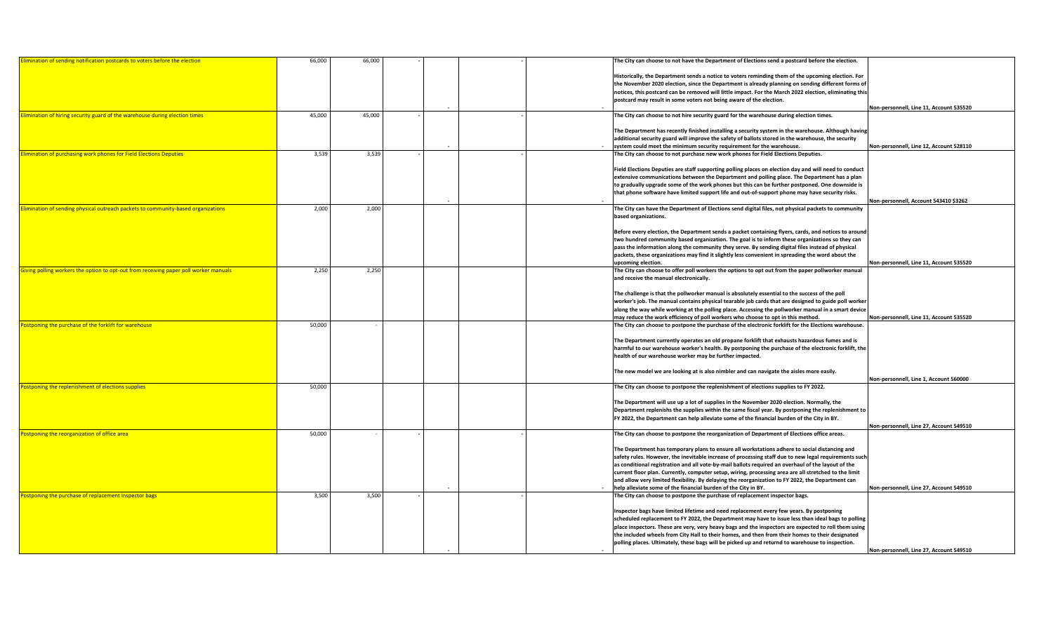| limination of sending notification postcards to voters before the election           | 66,000 | 66,000 |  | The City can choose to not have the Department of Elections send a postcard before the election.                                                                                                     |                                         |
|--------------------------------------------------------------------------------------|--------|--------|--|------------------------------------------------------------------------------------------------------------------------------------------------------------------------------------------------------|-----------------------------------------|
|                                                                                      |        |        |  | Historically, the Department sends a notice to voters reminding them of the upcoming election. For                                                                                                   |                                         |
|                                                                                      |        |        |  | the November 2020 election, since the Department is already planning on sending different forms of                                                                                                   |                                         |
|                                                                                      |        |        |  | notices, this postcard can be removed will little impact. For the March 2022 election, eliminating this                                                                                              |                                         |
|                                                                                      |        |        |  | postcard may result in some voters not being aware of the election.                                                                                                                                  |                                         |
|                                                                                      |        |        |  |                                                                                                                                                                                                      | Non-personnell. Line 11. Account 535520 |
| limination of hiring security guard of the warehouse during election times           | 45,000 | 45,000 |  | The City can choose to not hire security guard for the warehouse during election times.                                                                                                              |                                         |
|                                                                                      |        |        |  |                                                                                                                                                                                                      |                                         |
|                                                                                      |        |        |  | The Department has recently finished installing a security system in the warehouse. Although having                                                                                                  |                                         |
|                                                                                      |        |        |  | additional security guard will improve the safety of ballots stored in the warehouse, the security                                                                                                   |                                         |
|                                                                                      |        |        |  | system could meet the minimum security requirement for the warehouse.                                                                                                                                | Non-personnell. Line 12. Account 528110 |
| imination of purchasing work phones for Field Elections Deputies                     | 3,539  | 3,539  |  | The City can choose to not purchase new work phones for Field Elections Deputies.                                                                                                                    |                                         |
|                                                                                      |        |        |  | Field Elections Deputies are staff supporting polling places on election day and will need to conduct                                                                                                |                                         |
|                                                                                      |        |        |  | extensive communications between the Department and polling place. The Department has a plan                                                                                                         |                                         |
|                                                                                      |        |        |  | to gradually upgrade some of the work phones but this can be further postponed. One downside is                                                                                                      |                                         |
|                                                                                      |        |        |  | that phone software have limited support life and out-of-support phone may have security risks.                                                                                                      |                                         |
|                                                                                      |        |        |  |                                                                                                                                                                                                      | Non-personnell. Account 543410 \$3262   |
| limination of sending physical outreach packets to community-based organizations     | 2,000  | 2,000  |  | The City can have the Department of Elections send digital files, not physical packets to community                                                                                                  |                                         |
|                                                                                      |        |        |  | based organizations.                                                                                                                                                                                 |                                         |
|                                                                                      |        |        |  |                                                                                                                                                                                                      |                                         |
|                                                                                      |        |        |  | Before every election, the Department sends a packet containing flyers, cards, and notices to around                                                                                                 |                                         |
|                                                                                      |        |        |  | two hundred community based organization. The goal is to inform these organizations so they can<br>pass the information along the community they serve. By sending digital files instead of physical |                                         |
|                                                                                      |        |        |  | packets, these organizations may find it slightly less convenient in spreading the word about the                                                                                                    |                                         |
|                                                                                      |        |        |  | upcoming election.                                                                                                                                                                                   | Non-personnell. Line 11. Account 535520 |
| iving polling workers the option to opt-out from receiving paper poll worker manuals | 2,250  | 2,250  |  | The City can choose to offer poll workers the options to opt out from the paper pollworker manual                                                                                                    |                                         |
|                                                                                      |        |        |  | and receive the manual electronically.                                                                                                                                                               |                                         |
|                                                                                      |        |        |  |                                                                                                                                                                                                      |                                         |
|                                                                                      |        |        |  | The challenge is that the pollworker manual is absolutely essential to the success of the poll                                                                                                       |                                         |
|                                                                                      |        |        |  | worker's job. The manual contains physical tearable job cards that are designed to guide poll worker                                                                                                 |                                         |
|                                                                                      |        |        |  | along the way while working at the polling place. Accessing the pollworker manual in a smart device                                                                                                  |                                         |
|                                                                                      |        |        |  | may reduce the work efficiency of poll workers who choose to opt in this method.                                                                                                                     | Non-personnell, Line 11, Account 535520 |
| ostponing the purchase of the forklift for warehouse                                 | 50,000 |        |  | The City can choose to postpone the purchase of the electronic forklift for the Elections warehouse.                                                                                                 |                                         |
|                                                                                      |        |        |  | The Department currently operates an old propane forklift that exhausts hazardous fumes and is                                                                                                       |                                         |
|                                                                                      |        |        |  | harmful to our warehouse worker's health. By postponing the purchase of the electronic forklift, the                                                                                                 |                                         |
|                                                                                      |        |        |  | health of our warehouse worker may be further impacted.                                                                                                                                              |                                         |
|                                                                                      |        |        |  |                                                                                                                                                                                                      |                                         |
|                                                                                      |        |        |  | The new model we are looking at is also nimbler and can navigate the aisles more easily.                                                                                                             |                                         |
|                                                                                      |        |        |  |                                                                                                                                                                                                      | Non-personnell, Line 1, Account 560000  |
| ostponing the replenishment of elections supplies                                    | 50,000 |        |  | The City can choose to postpone the replenishment of elections supplies to FY 2022.                                                                                                                  |                                         |
|                                                                                      |        |        |  | The Department will use up a lot of supplies in the November 2020 election. Normally, the                                                                                                            |                                         |
|                                                                                      |        |        |  | Department replenishs the supplies within the same fiscal year. By postponing the replenishment to                                                                                                   |                                         |
|                                                                                      |        |        |  | FY 2022, the Department can help alleviate some of the financial burden of the City in BY.                                                                                                           |                                         |
|                                                                                      |        |        |  |                                                                                                                                                                                                      | Non-personnell, Line 27, Account 549510 |
| ostponing the reorganization of office area                                          | 50,000 |        |  | The City can choose to postpone the reorganization of Department of Elections office areas.                                                                                                          |                                         |
|                                                                                      |        |        |  |                                                                                                                                                                                                      |                                         |
|                                                                                      |        |        |  | The Department has temporary plans to ensure all workstations adhere to social distancing and                                                                                                        |                                         |
|                                                                                      |        |        |  | safety rules. However, the inevitable increase of processing staff due to new legal requirements such                                                                                                |                                         |
|                                                                                      |        |        |  | as conditional registration and all vote-by-mail ballots required an overhaul of the layout of the                                                                                                   |                                         |
|                                                                                      |        |        |  | current floor plan. Currently, computer setup, wiring, processing area are all stretched to the limit                                                                                                |                                         |
|                                                                                      |        |        |  | and allow very limited flexibility. By delaying the reorganization to FY 2022, the Department can<br>help alleviate some of the financial burden of the City in BY.                                  | Non-personnell, Line 27, Account 549510 |
| ostponing the purchase of replacement Inspector bags                                 | 3,500  | 3,500  |  | The City can choose to postpone the purchase of replacement inspector bags.                                                                                                                          |                                         |
|                                                                                      |        |        |  |                                                                                                                                                                                                      |                                         |
|                                                                                      |        |        |  | Inspector bags have limited lifetime and need replacement every few years. By postponing                                                                                                             |                                         |
|                                                                                      |        |        |  | scheduled replacement to FY 2022, the Department may have to issue less than ideal bags to polling                                                                                                   |                                         |
|                                                                                      |        |        |  | place inspectors. These are very, very heavy bags and the inspectors are expected to roll them using                                                                                                 |                                         |
|                                                                                      |        |        |  | the included wheels from City Hall to their homes, and then from their homes to their designated                                                                                                     |                                         |
|                                                                                      |        |        |  | polling places. Ultimately, these bags will be picked up and returnd to warehouse to inspection.                                                                                                     |                                         |
|                                                                                      |        |        |  |                                                                                                                                                                                                      | Non-personnell. Line 27. Account 549510 |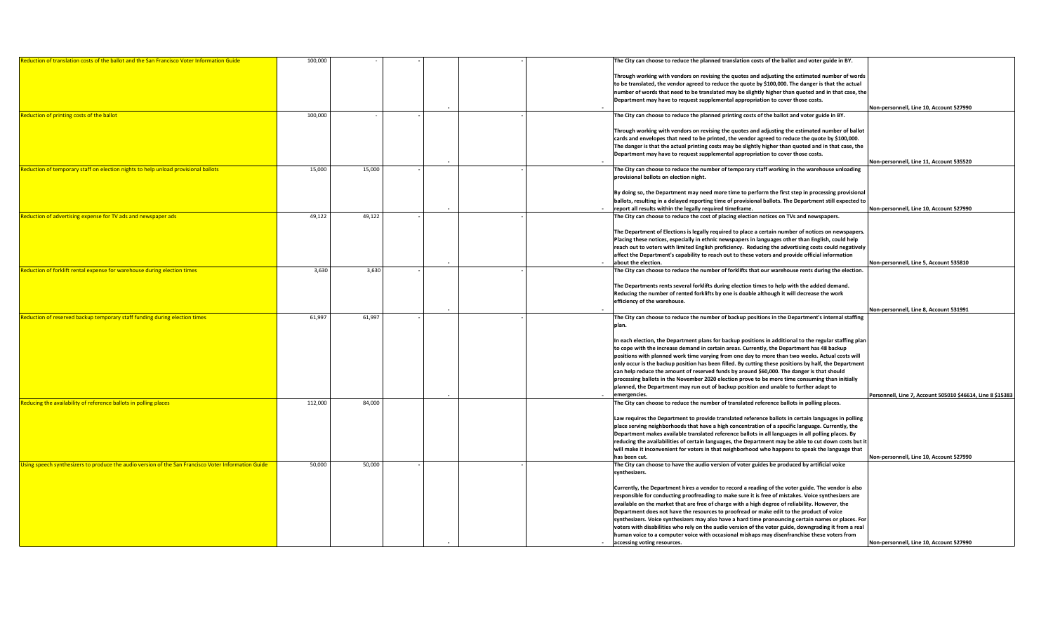| Reduction of translation costs of the ballot and the San Francisco Voter Information Guide         | 100,000 |        |  | The City can choose to reduce the planned translation costs of the ballot and voter guide in BY.        |                                                            |
|----------------------------------------------------------------------------------------------------|---------|--------|--|---------------------------------------------------------------------------------------------------------|------------------------------------------------------------|
|                                                                                                    |         |        |  |                                                                                                         |                                                            |
|                                                                                                    |         |        |  | Through working with vendors on revising the quotes and adjusting the estimated number of words         |                                                            |
|                                                                                                    |         |        |  | to be translated, the vendor agreed to reduce the quote by \$100,000. The danger is that the actual     |                                                            |
|                                                                                                    |         |        |  | number of words that need to be translated may be slightly higher than quoted and in that case, the     |                                                            |
|                                                                                                    |         |        |  | Department may have to request supplemental appropriation to cover those costs.                         |                                                            |
|                                                                                                    |         |        |  |                                                                                                         | Non-personnell, Line 10, Account 527990                    |
| Reduction of printing costs of the ballot                                                          | 100,000 |        |  | The City can choose to reduce the planned printing costs of the ballot and voter guide in BY.           |                                                            |
|                                                                                                    |         |        |  |                                                                                                         |                                                            |
|                                                                                                    |         |        |  | Through working with vendors on revising the quotes and adjusting the estimated number of ballot        |                                                            |
|                                                                                                    |         |        |  | cards and envelopes that need to be printed, the vendor agreed to reduce the quote by \$100,000.        |                                                            |
|                                                                                                    |         |        |  | The danger is that the actual printing costs may be slightly higher than quoted and in that case, the   |                                                            |
|                                                                                                    |         |        |  | Department may have to request supplemental appropriation to cover those costs.                         |                                                            |
|                                                                                                    |         |        |  |                                                                                                         | Non-personnell, Line 11, Account 535520                    |
| Reduction of temporary staff on election nights to help unload provisional ballots                 | 15,000  | 15,000 |  | The City can choose to reduce the number of temporary staff working in the warehouse unloading          |                                                            |
|                                                                                                    |         |        |  | provisional ballots on election night.                                                                  |                                                            |
|                                                                                                    |         |        |  |                                                                                                         |                                                            |
|                                                                                                    |         |        |  | By doing so, the Department may need more time to perform the first step in processing provisiona       |                                                            |
|                                                                                                    |         |        |  | ballots, resulting in a delayed reporting time of provisional ballots. The Department still expected to |                                                            |
|                                                                                                    |         |        |  | report all results within the legally required timeframe.                                               | Non-personnell, Line 10, Account 527990                    |
| Reduction of advertising expense for TV ads and newspaper ads                                      | 49,122  | 49,122 |  | The City can choose to reduce the cost of placing election notices on TVs and newspapers.               |                                                            |
|                                                                                                    |         |        |  |                                                                                                         |                                                            |
|                                                                                                    |         |        |  |                                                                                                         |                                                            |
|                                                                                                    |         |        |  | The Department of Elections is legally required to place a certain number of notices on newspapers.     |                                                            |
|                                                                                                    |         |        |  | Placing these notices, especially in ethnic newspapers in languages other than English, could help      |                                                            |
|                                                                                                    |         |        |  | reach out to voters with limited English proficiency. Reducing the advertising costs could negatively   |                                                            |
|                                                                                                    |         |        |  | affect the Department's capability to reach out to these voters and provide official information        |                                                            |
|                                                                                                    |         |        |  | about the election.                                                                                     | Non-personnell, Line 5, Account 535810                     |
| Reduction of forklift rental expense for warehouse during election times                           | 3,630   | 3,630  |  | The City can choose to reduce the number of forklifts that our warehouse rents during the election.     |                                                            |
|                                                                                                    |         |        |  |                                                                                                         |                                                            |
|                                                                                                    |         |        |  | The Departments rents several forklifts during election times to help with the added demand.            |                                                            |
|                                                                                                    |         |        |  | Reducing the number of rented forklifts by one is doable although it will decrease the work             |                                                            |
|                                                                                                    |         |        |  | efficiency of the warehouse.                                                                            |                                                            |
|                                                                                                    |         |        |  |                                                                                                         | Non-personnell, Line 8, Account 531991                     |
| Reduction of reserved backup temporary staff funding during election times                         | 61,997  | 61,997 |  | The City can choose to reduce the number of backup positions in the Department's internal staffing      |                                                            |
|                                                                                                    |         |        |  | plan.                                                                                                   |                                                            |
|                                                                                                    |         |        |  |                                                                                                         |                                                            |
|                                                                                                    |         |        |  | In each election, the Department plans for backup positions in additional to the regular staffing plan  |                                                            |
|                                                                                                    |         |        |  | to cope with the increase demand in certain areas. Currently, the Department has 48 backup              |                                                            |
|                                                                                                    |         |        |  | positions with planned work time varying from one day to more than two weeks. Actual costs will         |                                                            |
|                                                                                                    |         |        |  | only occur is the backup position has been filled. By cutting these positions by half, the Department   |                                                            |
|                                                                                                    |         |        |  | can help reduce the amount of reserved funds by around \$60,000. The danger is that should              |                                                            |
|                                                                                                    |         |        |  | processing ballots in the November 2020 election prove to be more time consuming than initially         |                                                            |
|                                                                                                    |         |        |  | planned, the Department may run out of backup position and unable to further adapt to                   |                                                            |
|                                                                                                    |         |        |  | emergencies.                                                                                            | Personnell, Line 7, Account 505010 \$46614, Line 8 \$15383 |
| Reducing the availability of reference ballots in polling places                                   | 112,000 | 84.000 |  | The City can choose to reduce the number of translated reference ballots in polling places.             |                                                            |
|                                                                                                    |         |        |  |                                                                                                         |                                                            |
|                                                                                                    |         |        |  | Law requires the Department to provide translated reference ballots in certain languages in polling     |                                                            |
|                                                                                                    |         |        |  |                                                                                                         |                                                            |
|                                                                                                    |         |        |  | place serving neighborhoods that have a high concentration of a specific language. Currently, the       |                                                            |
|                                                                                                    |         |        |  | Department makes available translated reference ballots in all languages in all polling places. By      |                                                            |
|                                                                                                    |         |        |  | reducing the availabilities of certain languages, the Department may be able to cut down costs but i    |                                                            |
|                                                                                                    |         |        |  |                                                                                                         |                                                            |
|                                                                                                    |         |        |  | will make it inconvenient for voters in that neighborhood who happens to speak the language that        |                                                            |
|                                                                                                    |         |        |  | has been cut.                                                                                           | Non-personnell, Line 10, Account 527990                    |
| sing speech synthesizers to produce the audio version of the San Francisco Voter Information Guide | 50,000  | 50,000 |  | The City can choose to have the audio version of voter guides be produced by artificial voice           |                                                            |
|                                                                                                    |         |        |  | synthesizers.                                                                                           |                                                            |
|                                                                                                    |         |        |  |                                                                                                         |                                                            |
|                                                                                                    |         |        |  | Currently, the Department hires a vendor to record a reading of the voter guide. The vendor is also     |                                                            |
|                                                                                                    |         |        |  | responsible for conducting proofreading to make sure it is free of mistakes. Voice synthesizers are     |                                                            |
|                                                                                                    |         |        |  | available on the market that are free of charge with a high degree of reliability. However, the         |                                                            |
|                                                                                                    |         |        |  | Department does not have the resources to proofread or make edit to the product of voice                |                                                            |
|                                                                                                    |         |        |  | synthesizers. Voice synthesizers may also have a hard time pronouncing certain names or places. For     |                                                            |
|                                                                                                    |         |        |  | voters with disabilities who rely on the audio version of the voter guide, downgrading it from a real   |                                                            |
|                                                                                                    |         |        |  | human voice to a computer voice with occasional mishaps may disenfranchise these voters from            |                                                            |
|                                                                                                    |         |        |  | accessing voting resources.                                                                             | Non-personnell, Line 10, Account 527990                    |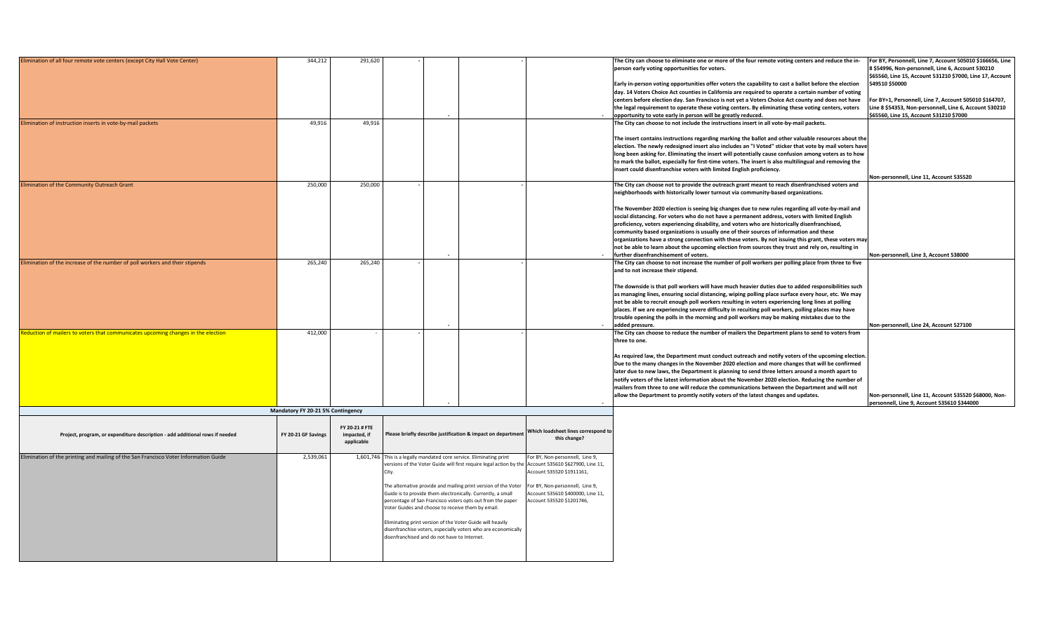| Elimination of all four remote vote centers (except City Hall Vote Center)           | 344,212                           |                                              |                                                               |                                                                                                      |                                                                                                                                                         |                                                                                                                  |
|--------------------------------------------------------------------------------------|-----------------------------------|----------------------------------------------|---------------------------------------------------------------|------------------------------------------------------------------------------------------------------|---------------------------------------------------------------------------------------------------------------------------------------------------------|------------------------------------------------------------------------------------------------------------------|
|                                                                                      |                                   | 291,620                                      |                                                               |                                                                                                      | The City can choose to eliminate one or more of the four remote voting centers and reduce the in-                                                       | For BY, Personnell, Line 7, Account 505010 \$166656, Line                                                        |
|                                                                                      |                                   |                                              |                                                               |                                                                                                      | person early voting opportunities for voters.                                                                                                           | 8 \$54996, Non-personnell, Line 6, Account 530210                                                                |
|                                                                                      |                                   |                                              |                                                               |                                                                                                      |                                                                                                                                                         | \$65560, Line 15, Account 531210 \$7000, Line 17, Account                                                        |
|                                                                                      |                                   |                                              |                                                               |                                                                                                      | Early in-person voting opportunities offer voters the capability to cast a ballot before the election                                                   | 549510 \$50000                                                                                                   |
|                                                                                      |                                   |                                              |                                                               |                                                                                                      | day. 14 Voters Choice Act counties in California are required to operate a certain number of voting                                                     |                                                                                                                  |
|                                                                                      |                                   |                                              |                                                               |                                                                                                      | centers before election day. San Francisco is not yet a Voters Choice Act county and does not have                                                      | For BY+1, Personnell, Line 7, Account 505010 \$164707,<br>Line 8 \$54353, Non-personnell, Line 6, Account 530210 |
|                                                                                      |                                   |                                              |                                                               |                                                                                                      | the legal requirement to operate these voting centers. By eliminating these voting centers, voters                                                      | \$65560, Line 15, Account 531210 \$7000                                                                          |
| Elimination of instruction inserts in vote-by-mail packets                           | 49,916                            | 49,916                                       |                                                               |                                                                                                      | opportunity to vote early in person will be greatly reduced.<br>The City can choose to not include the instructions insert in all vote-by-mail packets. |                                                                                                                  |
|                                                                                      |                                   |                                              |                                                               |                                                                                                      |                                                                                                                                                         |                                                                                                                  |
|                                                                                      |                                   |                                              |                                                               |                                                                                                      | The insert contains instructions regarding marking the ballot and other valuable resources about the                                                    |                                                                                                                  |
|                                                                                      |                                   |                                              |                                                               |                                                                                                      | election. The newly redesigned insert also includes an "I Voted" sticker that vote by mail voters have                                                  |                                                                                                                  |
|                                                                                      |                                   |                                              |                                                               |                                                                                                      | long been asking for. Eliminating the insert will potentially cause confusion among voters as to how                                                    |                                                                                                                  |
|                                                                                      |                                   |                                              |                                                               |                                                                                                      | to mark the ballot, especially for first-time voters. The insert is also multilingual and removing the                                                  |                                                                                                                  |
|                                                                                      |                                   |                                              |                                                               |                                                                                                      | insert could disenfranchise voters with limited English proficiency.                                                                                    |                                                                                                                  |
|                                                                                      |                                   |                                              |                                                               |                                                                                                      |                                                                                                                                                         | Non-personnell, Line 11, Account 535520                                                                          |
| <b>Elimination of the Community Outreach Grant</b>                                   | 250,000                           | 250,000                                      |                                                               |                                                                                                      | The City can choose not to provide the outreach grant meant to reach disenfranchised voters and                                                         |                                                                                                                  |
|                                                                                      |                                   |                                              |                                                               |                                                                                                      | neighborhoods with historically lower turnout via community-based organizations.                                                                        |                                                                                                                  |
|                                                                                      |                                   |                                              |                                                               |                                                                                                      |                                                                                                                                                         |                                                                                                                  |
|                                                                                      |                                   |                                              |                                                               |                                                                                                      | The November 2020 election is seeing big changes due to new rules regarding all vote-by-mail and                                                        |                                                                                                                  |
|                                                                                      |                                   |                                              |                                                               |                                                                                                      | social distancing. For voters who do not have a permanent address, voters with limited English                                                          |                                                                                                                  |
|                                                                                      |                                   |                                              |                                                               |                                                                                                      | proficiency, voters experiencing disability, and voters who are historically disenfranchised,                                                           |                                                                                                                  |
|                                                                                      |                                   |                                              |                                                               |                                                                                                      | community based organizations is usually one of their sources of information and these                                                                  |                                                                                                                  |
|                                                                                      |                                   |                                              |                                                               |                                                                                                      | organizations have a strong connection with these voters. By not issuing this grant, these voters may                                                   |                                                                                                                  |
|                                                                                      |                                   |                                              |                                                               |                                                                                                      | not be able to learn about the upcoming election from sources they trust and rely on, resulting in                                                      |                                                                                                                  |
|                                                                                      |                                   | 265.240                                      |                                                               |                                                                                                      | further disenfranchisement of voters.                                                                                                                   | Non-personnell, Line 3, Account 538000                                                                           |
| Elimination of the increase of the number of poll workers and their stipends         | 265,240                           |                                              |                                                               |                                                                                                      | The City can choose to not increase the number of poll workers per polling place from three to five                                                     |                                                                                                                  |
|                                                                                      |                                   |                                              |                                                               |                                                                                                      | and to not increase their stipend.                                                                                                                      |                                                                                                                  |
|                                                                                      |                                   |                                              |                                                               |                                                                                                      | The downside is that poll workers will have much heavier duties due to added responsibilities such                                                      |                                                                                                                  |
|                                                                                      |                                   |                                              |                                                               |                                                                                                      | as managing lines, ensuring social distancing, wiping polling place surface every hour, etc. We may                                                     |                                                                                                                  |
|                                                                                      |                                   |                                              |                                                               |                                                                                                      |                                                                                                                                                         |                                                                                                                  |
|                                                                                      |                                   |                                              |                                                               |                                                                                                      |                                                                                                                                                         |                                                                                                                  |
|                                                                                      |                                   |                                              |                                                               |                                                                                                      | not be able to recruit enough poll workers resulting in voters experiencing long lines at polling                                                       |                                                                                                                  |
|                                                                                      |                                   |                                              |                                                               |                                                                                                      | places. If we are experiencing severe difficulty in recuiting poll workers, polling places may have                                                     |                                                                                                                  |
|                                                                                      |                                   |                                              |                                                               |                                                                                                      | trouble opening the polls in the morning and poll workers may be making mistakes due to the<br>added pressure.                                          | Non-personnell. Line 24. Account 527100                                                                          |
| Reduction of mailers to voters that communicates upcoming changes in the election    | 412,000                           |                                              |                                                               |                                                                                                      | The City can choose to reduce the number of mailers the Department plans to send to voters from                                                         |                                                                                                                  |
|                                                                                      |                                   |                                              |                                                               |                                                                                                      | three to one.                                                                                                                                           |                                                                                                                  |
|                                                                                      |                                   |                                              |                                                               |                                                                                                      |                                                                                                                                                         |                                                                                                                  |
|                                                                                      |                                   |                                              |                                                               |                                                                                                      | As required law, the Department must conduct outreach and notify voters of the upcoming election.                                                       |                                                                                                                  |
|                                                                                      |                                   |                                              |                                                               |                                                                                                      | Due to the many changes in the November 2020 election and more changes that will be confirmed                                                           |                                                                                                                  |
|                                                                                      |                                   |                                              |                                                               |                                                                                                      | later due to new laws, the Department is planning to send three letters around a month apart to                                                         |                                                                                                                  |
|                                                                                      |                                   |                                              |                                                               |                                                                                                      | notify voters of the latest information about the November 2020 election. Reducing the number of                                                        |                                                                                                                  |
|                                                                                      |                                   |                                              |                                                               |                                                                                                      | mailers from three to one will reduce the communications between the Department and will not                                                            |                                                                                                                  |
|                                                                                      |                                   |                                              |                                                               |                                                                                                      | allow the Department to promtly notify voters of the latest changes and updates.                                                                        | Non-personnell, Line 11, Account 535520 \$68000, Non-                                                            |
|                                                                                      |                                   |                                              |                                                               |                                                                                                      |                                                                                                                                                         | personnell. Line 9. Account 535610 \$344000                                                                      |
|                                                                                      | Mandatory FY 20-21 5% Contingency |                                              |                                                               |                                                                                                      |                                                                                                                                                         |                                                                                                                  |
|                                                                                      |                                   |                                              |                                                               |                                                                                                      |                                                                                                                                                         |                                                                                                                  |
|                                                                                      |                                   | FY 20-21 # FTE                               |                                                               | Which loadsheet lines correspond to                                                                  |                                                                                                                                                         |                                                                                                                  |
| Project, program, or expenditure description - add additional rows if needed         | FY 20-21 GF Savings               | impacted, if                                 | Please briefly describe justification & impact on department  | this change?                                                                                         |                                                                                                                                                         |                                                                                                                  |
|                                                                                      |                                   | applicable                                   |                                                               |                                                                                                      |                                                                                                                                                         |                                                                                                                  |
| Elimination of the printing and mailing of the San Francisco Voter Information Guide | 2,539,061                         | 1,601,746                                    | This is a legally mandated core service. Eliminating print    | For BY, Non-personnell, Line 9,                                                                      |                                                                                                                                                         |                                                                                                                  |
|                                                                                      |                                   |                                              |                                                               | versions of the Voter Guide will first require legal action by the Account 535610 \$627900, Line 11, |                                                                                                                                                         |                                                                                                                  |
|                                                                                      |                                   |                                              |                                                               | Account 535520 \$1911161,                                                                            |                                                                                                                                                         |                                                                                                                  |
|                                                                                      |                                   |                                              |                                                               |                                                                                                      |                                                                                                                                                         |                                                                                                                  |
|                                                                                      |                                   |                                              |                                                               | The alternative provide and mailing print version of the Voter For BY, Non-personnell, Line 9,       |                                                                                                                                                         |                                                                                                                  |
|                                                                                      |                                   |                                              | Guide is to provide them electronically. Currently, a small   | Account 535610 \$400000, Line 11,                                                                    |                                                                                                                                                         |                                                                                                                  |
|                                                                                      |                                   |                                              | percentage of San Francisco voters opts out from the paper    | Account 535520 \$1201746,                                                                            |                                                                                                                                                         |                                                                                                                  |
|                                                                                      |                                   |                                              | Voter Guides and choose to receive them by email.             |                                                                                                      |                                                                                                                                                         |                                                                                                                  |
|                                                                                      |                                   |                                              | Eliminating print version of the Voter Guide will heavily     |                                                                                                      |                                                                                                                                                         |                                                                                                                  |
|                                                                                      |                                   |                                              | disenfranchise voters, especially voters who are economically |                                                                                                      |                                                                                                                                                         |                                                                                                                  |
|                                                                                      |                                   | disenfranchised and do not have to Internet. |                                                               |                                                                                                      |                                                                                                                                                         |                                                                                                                  |
|                                                                                      |                                   |                                              |                                                               |                                                                                                      |                                                                                                                                                         |                                                                                                                  |